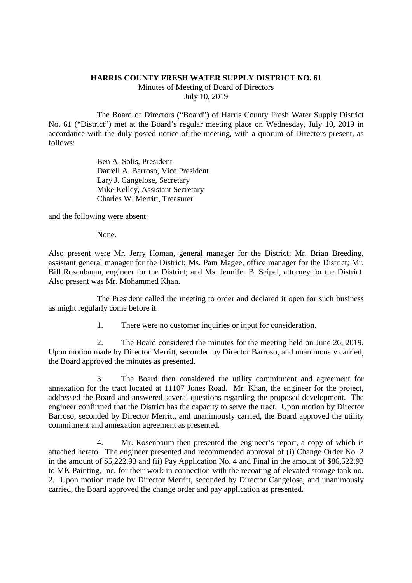## **HARRIS COUNTY FRESH WATER SUPPLY DISTRICT NO. 61**

Minutes of Meeting of Board of Directors July 10, 2019

The Board of Directors ("Board") of Harris County Fresh Water Supply District No. 61 ("District") met at the Board's regular meeting place on Wednesday, July 10, 2019 in accordance with the duly posted notice of the meeting, with a quorum of Directors present, as follows:

> Ben A. Solis, President Darrell A. Barroso, Vice President Lary J. Cangelose, Secretary Mike Kelley, Assistant Secretary Charles W. Merritt, Treasurer

and the following were absent:

None.

Also present were Mr. Jerry Homan, general manager for the District; Mr. Brian Breeding, assistant general manager for the District; Ms. Pam Magee, office manager for the District; Mr. Bill Rosenbaum, engineer for the District; and Ms. Jennifer B. Seipel, attorney for the District. Also present was Mr. Mohammed Khan.

The President called the meeting to order and declared it open for such business as might regularly come before it.

1. There were no customer inquiries or input for consideration.

2. The Board considered the minutes for the meeting held on June 26, 2019. Upon motion made by Director Merritt, seconded by Director Barroso, and unanimously carried, the Board approved the minutes as presented.

3. The Board then considered the utility commitment and agreement for annexation for the tract located at 11107 Jones Road. Mr. Khan, the engineer for the project, addressed the Board and answered several questions regarding the proposed development. The engineer confirmed that the District has the capacity to serve the tract. Upon motion by Director Barroso, seconded by Director Merritt, and unanimously carried, the Board approved the utility commitment and annexation agreement as presented.

4. Mr. Rosenbaum then presented the engineer's report, a copy of which is attached hereto. The engineer presented and recommended approval of (i) Change Order No. 2 in the amount of \$5,222.93 and (ii) Pay Application No. 4 and Final in the amount of \$86,522.93 to MK Painting, Inc. for their work in connection with the recoating of elevated storage tank no. 2. Upon motion made by Director Merritt, seconded by Director Cangelose, and unanimously carried, the Board approved the change order and pay application as presented.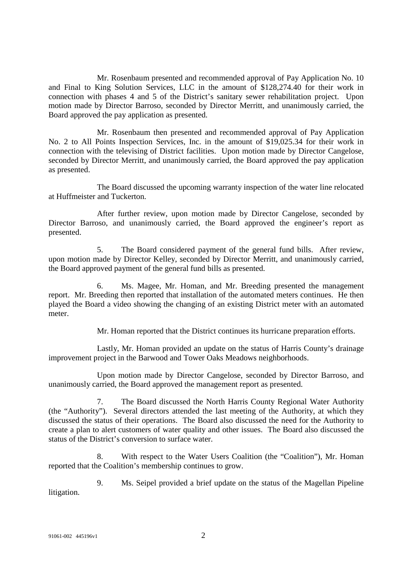Mr. Rosenbaum presented and recommended approval of Pay Application No. 10 and Final to King Solution Services, LLC in the amount of \$128,274.40 for their work in connection with phases 4 and 5 of the District's sanitary sewer rehabilitation project. Upon motion made by Director Barroso, seconded by Director Merritt, and unanimously carried, the Board approved the pay application as presented.

Mr. Rosenbaum then presented and recommended approval of Pay Application No. 2 to All Points Inspection Services, Inc. in the amount of \$19,025.34 for their work in connection with the televising of District facilities. Upon motion made by Director Cangelose, seconded by Director Merritt, and unanimously carried, the Board approved the pay application as presented.

The Board discussed the upcoming warranty inspection of the water line relocated at Huffmeister and Tuckerton.

After further review, upon motion made by Director Cangelose, seconded by Director Barroso, and unanimously carried, the Board approved the engineer's report as presented.

5. The Board considered payment of the general fund bills. After review, upon motion made by Director Kelley, seconded by Director Merritt, and unanimously carried, the Board approved payment of the general fund bills as presented.

6. Ms. Magee, Mr. Homan, and Mr. Breeding presented the management report. Mr. Breeding then reported that installation of the automated meters continues. He then played the Board a video showing the changing of an existing District meter with an automated meter.

Mr. Homan reported that the District continues its hurricane preparation efforts.

Lastly, Mr. Homan provided an update on the status of Harris County's drainage improvement project in the Barwood and Tower Oaks Meadows neighborhoods.

Upon motion made by Director Cangelose, seconded by Director Barroso, and unanimously carried, the Board approved the management report as presented.

7. The Board discussed the North Harris County Regional Water Authority (the "Authority"). Several directors attended the last meeting of the Authority, at which they discussed the status of their operations. The Board also discussed the need for the Authority to create a plan to alert customers of water quality and other issues. The Board also discussed the status of the District's conversion to surface water.

8. With respect to the Water Users Coalition (the "Coalition"), Mr. Homan reported that the Coalition's membership continues to grow.

9. Ms. Seipel provided a brief update on the status of the Magellan Pipeline litigation.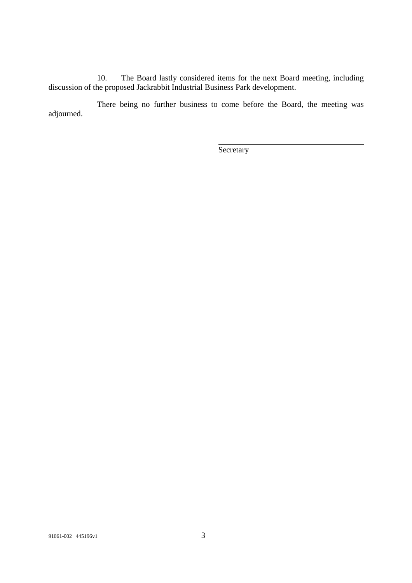10. The Board lastly considered items for the next Board meeting, including discussion of the proposed Jackrabbit Industrial Business Park development.

There being no further business to come before the Board, the meeting was adjourned.

**Secretary**